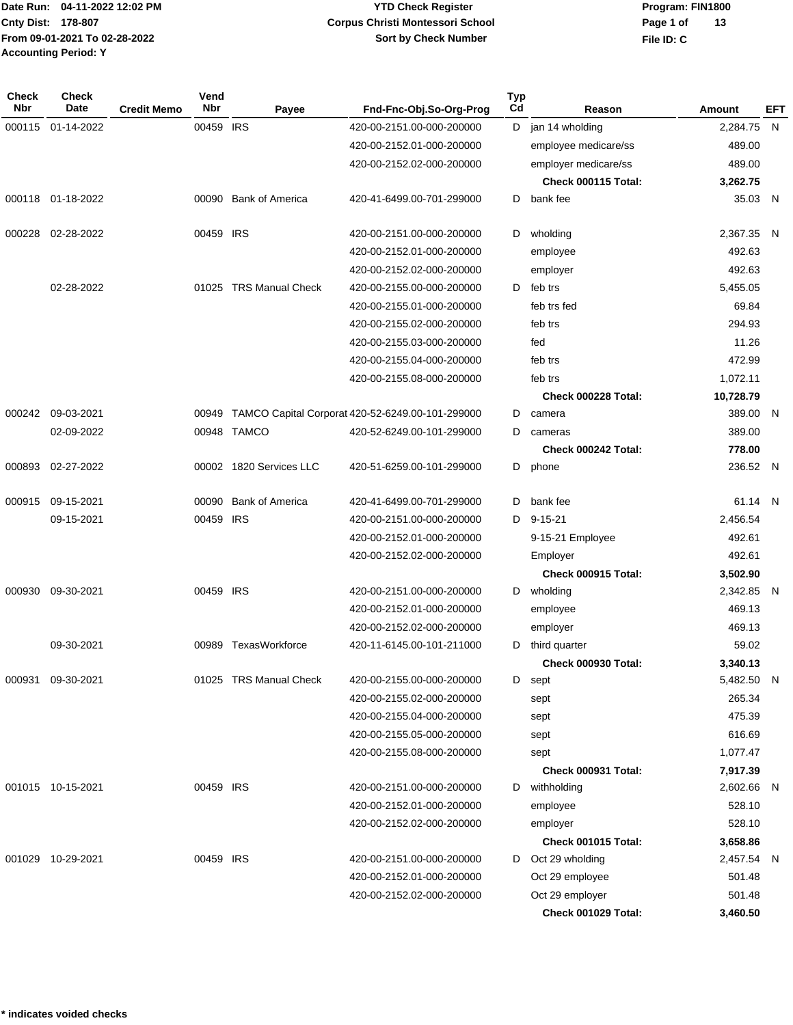# **YTD Check Register Corpus Christi Montessori School Sort by Check Number**

**Program: FIN1800 File ID: C Page 1 of 13**

| <b>Check</b><br><b>Nbr</b> | <b>Check</b><br>Date | <b>Credit Memo</b> | Vend<br><b>Nbr</b> | Payee                   | Fnd-Fnc-Obj.So-Org-Prog                          | <b>Typ</b><br>Cd | Reason               | Amount     | <b>EFT</b> |
|----------------------------|----------------------|--------------------|--------------------|-------------------------|--------------------------------------------------|------------------|----------------------|------------|------------|
| 000115                     | 01-14-2022           |                    | 00459 IRS          |                         | 420-00-2151.00-000-200000                        | D                | jan 14 wholding      | 2,284.75 N |            |
|                            |                      |                    |                    |                         | 420-00-2152.01-000-200000                        |                  | employee medicare/ss | 489.00     |            |
|                            |                      |                    |                    |                         | 420-00-2152.02-000-200000                        |                  | employer medicare/ss | 489.00     |            |
|                            |                      |                    |                    |                         |                                                  |                  | Check 000115 Total:  | 3,262.75   |            |
|                            | 000118 01-18-2022    |                    | 00090              | <b>Bank of America</b>  | 420-41-6499.00-701-299000                        | D                | bank fee             | 35.03 N    |            |
| 000228                     | 02-28-2022           |                    | 00459 IRS          |                         | 420-00-2151.00-000-200000                        | D                | wholding             | 2,367.35 N |            |
|                            |                      |                    |                    |                         | 420-00-2152.01-000-200000                        |                  | employee             | 492.63     |            |
|                            |                      |                    |                    |                         | 420-00-2152.02-000-200000                        |                  | employer             | 492.63     |            |
|                            | 02-28-2022           |                    |                    | 01025 TRS Manual Check  | 420-00-2155.00-000-200000                        | D                | feb trs              | 5,455.05   |            |
|                            |                      |                    |                    |                         | 420-00-2155.01-000-200000                        |                  | feb trs fed          | 69.84      |            |
|                            |                      |                    |                    |                         | 420-00-2155.02-000-200000                        |                  | feb trs              | 294.93     |            |
|                            |                      |                    |                    |                         | 420-00-2155.03-000-200000                        |                  | fed                  | 11.26      |            |
|                            |                      |                    |                    |                         | 420-00-2155.04-000-200000                        |                  | feb trs              | 472.99     |            |
|                            |                      |                    |                    |                         | 420-00-2155.08-000-200000                        |                  | feb trs              | 1,072.11   |            |
|                            |                      |                    |                    |                         |                                                  |                  | Check 000228 Total:  | 10,728.79  |            |
| 000242                     | 09-03-2021           |                    | 00949              |                         | TAMCO Capital Corporat 420-52-6249.00-101-299000 | D                | camera               | 389.00 N   |            |
|                            | 02-09-2022           |                    |                    | 00948 TAMCO             | 420-52-6249.00-101-299000                        | D                | cameras              | 389.00     |            |
|                            |                      |                    |                    |                         |                                                  |                  | Check 000242 Total:  | 778.00     |            |
| 000893                     | 02-27-2022           |                    |                    | 00002 1820 Services LLC | 420-51-6259.00-101-299000                        |                  | D phone              | 236.52 N   |            |
| 000915                     | 09-15-2021           |                    | 00090              | <b>Bank of America</b>  | 420-41-6499.00-701-299000                        | D                | bank fee             | 61.14 N    |            |
|                            | 09-15-2021           |                    | 00459 IRS          |                         | 420-00-2151.00-000-200000                        | D                | $9 - 15 - 21$        | 2,456.54   |            |
|                            |                      |                    |                    |                         | 420-00-2152.01-000-200000                        |                  | 9-15-21 Employee     | 492.61     |            |
|                            |                      |                    |                    |                         | 420-00-2152.02-000-200000                        |                  | Employer             | 492.61     |            |
|                            |                      |                    |                    |                         |                                                  |                  | Check 000915 Total:  | 3,502.90   |            |
| 000930                     | 09-30-2021           |                    | 00459 IRS          |                         | 420-00-2151.00-000-200000                        |                  | D wholding           | 2,342.85 N |            |
|                            |                      |                    |                    |                         | 420-00-2152.01-000-200000                        |                  | employee             | 469.13     |            |
|                            |                      |                    |                    |                         | 420-00-2152.02-000-200000                        |                  | employer             | 469.13     |            |
|                            | 09-30-2021           |                    | 00989              | TexasWorkforce          | 420-11-6145.00-101-211000                        | D                | third quarter        | 59.02      |            |
|                            |                      |                    |                    |                         |                                                  |                  | Check 000930 Total:  | 3,340.13   |            |
| 000931                     | 09-30-2021           |                    |                    | 01025 TRS Manual Check  | 420-00-2155.00-000-200000                        |                  | D sept               | 5,482.50 N |            |
|                            |                      |                    |                    |                         | 420-00-2155.02-000-200000                        |                  | sept                 | 265.34     |            |
|                            |                      |                    |                    |                         | 420-00-2155.04-000-200000                        |                  | sept                 | 475.39     |            |
|                            |                      |                    |                    |                         | 420-00-2155.05-000-200000                        |                  | sept                 | 616.69     |            |
|                            |                      |                    |                    |                         | 420-00-2155.08-000-200000                        |                  | sept                 | 1,077.47   |            |
|                            |                      |                    |                    |                         |                                                  |                  | Check 000931 Total:  | 7,917.39   |            |
|                            | 001015 10-15-2021    |                    | 00459 IRS          |                         | 420-00-2151.00-000-200000                        | D                | withholding          | 2,602.66 N |            |
|                            |                      |                    |                    |                         | 420-00-2152.01-000-200000                        |                  | employee             | 528.10     |            |
|                            |                      |                    |                    |                         | 420-00-2152.02-000-200000                        |                  | employer             | 528.10     |            |
|                            |                      |                    |                    |                         |                                                  |                  | Check 001015 Total:  | 3,658.86   |            |
| 001029                     | 10-29-2021           |                    | 00459 IRS          |                         | 420-00-2151.00-000-200000                        |                  | D Oct 29 wholding    | 2,457.54 N |            |
|                            |                      |                    |                    |                         | 420-00-2152.01-000-200000                        |                  | Oct 29 employee      | 501.48     |            |
|                            |                      |                    |                    |                         | 420-00-2152.02-000-200000                        |                  | Oct 29 employer      | 501.48     |            |
|                            |                      |                    |                    |                         |                                                  |                  | Check 001029 Total:  | 3,460.50   |            |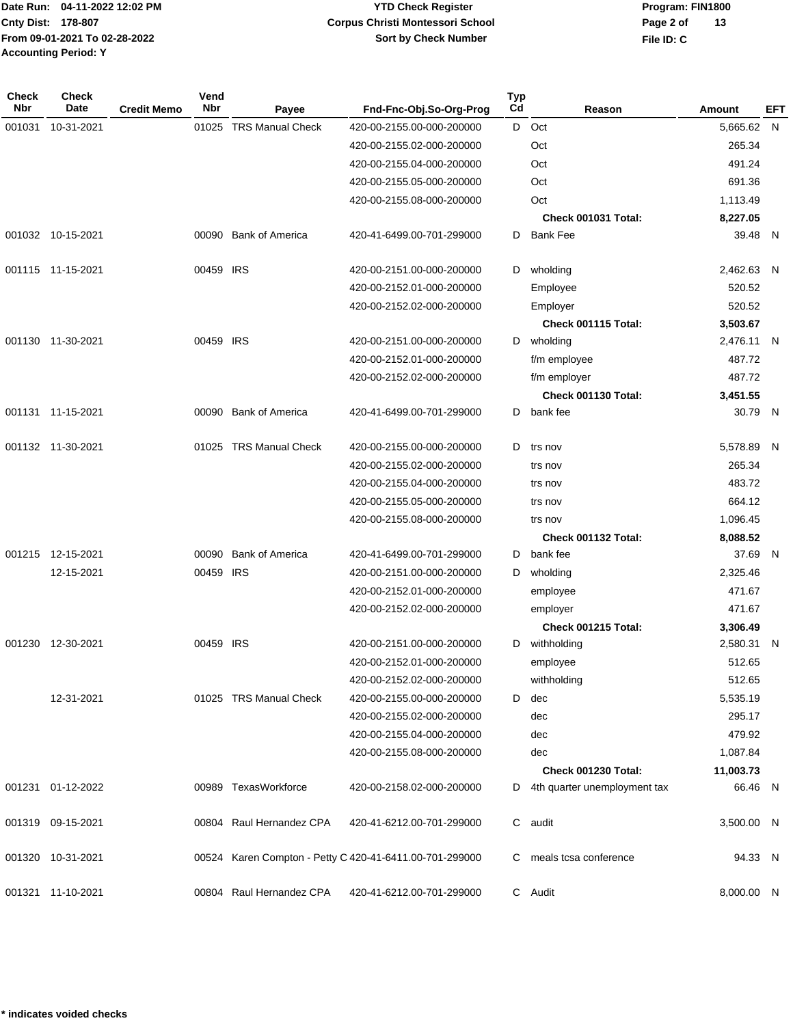**Program: FIN1800 File ID: C Page 2 of 13**

| Check<br><b>Nbr</b> | Check<br><b>Date</b> | <b>Credit Memo</b> | Vend<br>Nbr | Payee                    | Fnd-Fnc-Obj.So-Org-Prog                                 | <b>Typ</b><br>C <sub>d</sub> | Reason                       | Amount     | EFT |
|---------------------|----------------------|--------------------|-------------|--------------------------|---------------------------------------------------------|------------------------------|------------------------------|------------|-----|
| 001031              | 10-31-2021           |                    |             | 01025 TRS Manual Check   | 420-00-2155.00-000-200000                               | D                            | Oct                          | 5,665.62 N |     |
|                     |                      |                    |             |                          | 420-00-2155.02-000-200000                               |                              | Oct                          | 265.34     |     |
|                     |                      |                    |             |                          | 420-00-2155.04-000-200000                               |                              | Oct                          | 491.24     |     |
|                     |                      |                    |             |                          | 420-00-2155.05-000-200000                               |                              | Oct                          | 691.36     |     |
|                     |                      |                    |             |                          | 420-00-2155.08-000-200000                               |                              | Oct                          | 1,113.49   |     |
|                     |                      |                    |             |                          |                                                         |                              | Check 001031 Total:          | 8,227.05   |     |
|                     | 001032 10-15-2021    |                    |             | 00090 Bank of America    | 420-41-6499.00-701-299000                               | D                            | <b>Bank Fee</b>              | 39.48 N    |     |
|                     | 001115 11-15-2021    |                    | 00459 IRS   |                          | 420-00-2151.00-000-200000                               | D                            | wholding                     | 2,462.63 N |     |
|                     |                      |                    |             |                          | 420-00-2152.01-000-200000                               |                              | Employee                     | 520.52     |     |
|                     |                      |                    |             |                          | 420-00-2152.02-000-200000                               |                              | Employer                     | 520.52     |     |
|                     |                      |                    |             |                          |                                                         |                              | Check 001115 Total:          | 3,503.67   |     |
| 001130              | 11-30-2021           |                    | 00459 IRS   |                          | 420-00-2151.00-000-200000                               | D                            | wholding                     | 2,476.11 N |     |
|                     |                      |                    |             |                          | 420-00-2152.01-000-200000                               |                              | f/m employee                 | 487.72     |     |
|                     |                      |                    |             |                          | 420-00-2152.02-000-200000                               |                              | f/m employer                 | 487.72     |     |
|                     |                      |                    |             |                          |                                                         |                              | Check 001130 Total:          | 3,451.55   |     |
|                     | 001131 11-15-2021    |                    | 00090       | <b>Bank of America</b>   | 420-41-6499.00-701-299000                               | D                            | bank fee                     | 30.79 N    |     |
|                     | 001132 11-30-2021    |                    |             | 01025 TRS Manual Check   | 420-00-2155.00-000-200000                               | D                            | trs nov                      | 5,578.89 N |     |
|                     |                      |                    |             |                          | 420-00-2155.02-000-200000                               |                              | trs nov                      | 265.34     |     |
|                     |                      |                    |             |                          | 420-00-2155.04-000-200000                               |                              | trs nov                      | 483.72     |     |
|                     |                      |                    |             |                          | 420-00-2155.05-000-200000                               |                              | trs nov                      | 664.12     |     |
|                     |                      |                    |             |                          | 420-00-2155.08-000-200000                               |                              | trs nov                      | 1,096.45   |     |
|                     |                      |                    |             |                          |                                                         |                              | Check 001132 Total:          | 8,088.52   |     |
| 001215              | 12-15-2021           |                    | 00090       | <b>Bank of America</b>   | 420-41-6499.00-701-299000                               | D                            | bank fee                     | 37.69 N    |     |
|                     | 12-15-2021           |                    | 00459 IRS   |                          | 420-00-2151.00-000-200000                               | D                            | wholding                     | 2,325.46   |     |
|                     |                      |                    |             |                          | 420-00-2152.01-000-200000                               |                              | employee                     | 471.67     |     |
|                     |                      |                    |             |                          | 420-00-2152.02-000-200000                               |                              | employer                     | 471.67     |     |
|                     |                      |                    |             |                          |                                                         |                              | Check 001215 Total:          | 3,306.49   |     |
| 001230              | 12-30-2021           |                    | 00459 IRS   |                          | 420-00-2151.00-000-200000                               | D                            | withholding                  | 2,580.31 N |     |
|                     |                      |                    |             |                          | 420-00-2152.01-000-200000                               |                              | employee                     | 512.65     |     |
|                     |                      |                    |             |                          | 420-00-2152.02-000-200000                               |                              | withholding                  | 512.65     |     |
|                     | 12-31-2021           |                    |             | 01025 TRS Manual Check   | 420-00-2155.00-000-200000                               | D                            | dec                          | 5,535.19   |     |
|                     |                      |                    |             |                          | 420-00-2155.02-000-200000                               |                              | dec                          | 295.17     |     |
|                     |                      |                    |             |                          | 420-00-2155.04-000-200000                               |                              | dec                          | 479.92     |     |
|                     |                      |                    |             |                          | 420-00-2155.08-000-200000                               |                              | dec                          | 1,087.84   |     |
|                     |                      |                    |             |                          |                                                         |                              | Check 001230 Total:          | 11,003.73  |     |
|                     | 001231 01-12-2022    |                    |             | 00989 TexasWorkforce     | 420-00-2158.02-000-200000                               | D                            | 4th quarter unemployment tax | 66.46 N    |     |
|                     | 001319 09-15-2021    |                    |             | 00804 Raul Hernandez CPA | 420-41-6212.00-701-299000                               | C                            | audit                        | 3,500.00 N |     |
|                     | 001320 10-31-2021    |                    |             |                          | 00524 Karen Compton - Petty C 420-41-6411.00-701-299000 | C.                           | meals tcsa conference        | 94.33 N    |     |
|                     | 001321 11-10-2021    |                    |             | 00804 Raul Hernandez CPA | 420-41-6212.00-701-299000                               |                              | C Audit                      | 8,000.00 N |     |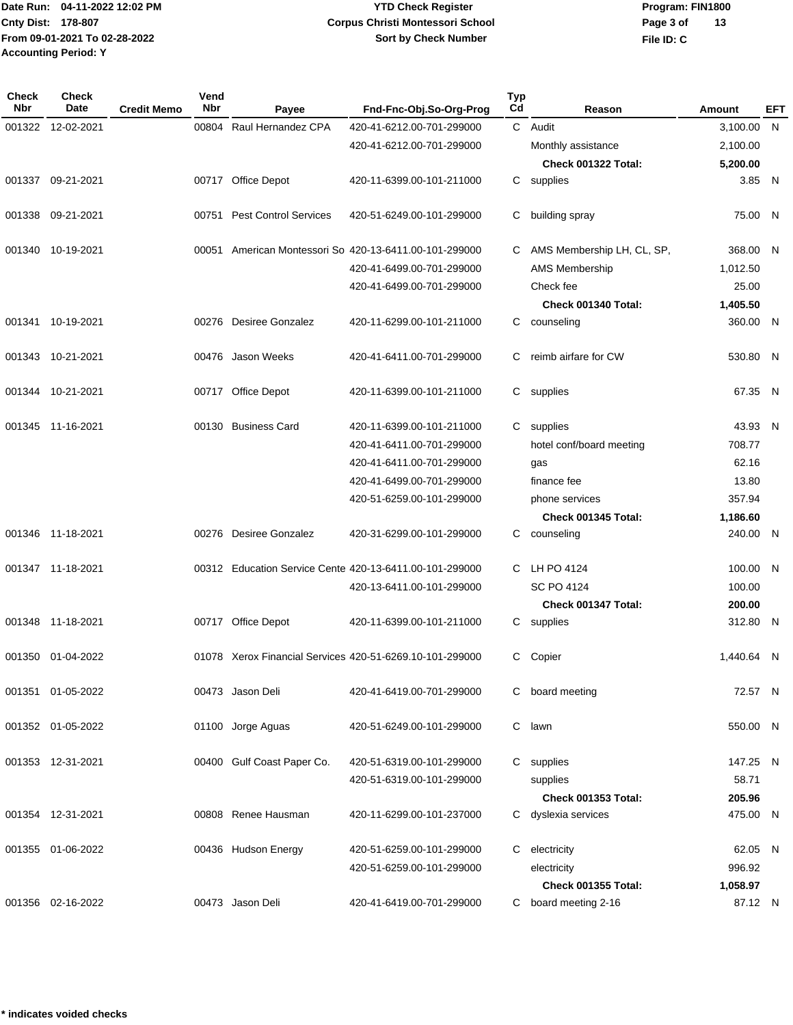**Program: FIN1800 File ID: C Page 3 of 13**

| <b>Check</b><br><b>Nbr</b> | <b>Check</b><br>Date | <b>Credit Memo</b> | Vend<br><b>Nbr</b> | Payee                       | Fnd-Fnc-Obj.So-Org-Prog                                  | <b>Typ</b><br>Cd | Reason                     | Amount     | EFT |
|----------------------------|----------------------|--------------------|--------------------|-----------------------------|----------------------------------------------------------|------------------|----------------------------|------------|-----|
| 001322                     | 12-02-2021           |                    | 00804              | Raul Hernandez CPA          | 420-41-6212.00-701-299000                                |                  | C Audit                    | 3,100.00 N |     |
|                            |                      |                    |                    |                             | 420-41-6212.00-701-299000                                |                  | Monthly assistance         | 2,100.00   |     |
|                            |                      |                    |                    |                             |                                                          |                  | Check 001322 Total:        | 5,200.00   |     |
|                            | 001337 09-21-2021    |                    |                    | 00717 Office Depot          | 420-11-6399.00-101-211000                                |                  | C supplies                 | 3.85 N     |     |
| 001338                     | 09-21-2021           |                    |                    | 00751 Pest Control Services | 420-51-6249.00-101-299000                                | С                | building spray             | 75.00 N    |     |
|                            | 001340 10-19-2021    |                    |                    |                             | 00051 American Montessori So 420-13-6411.00-101-299000   | C                | AMS Membership LH, CL, SP, | 368.00 N   |     |
|                            |                      |                    |                    |                             | 420-41-6499.00-701-299000                                |                  | AMS Membership             | 1,012.50   |     |
|                            |                      |                    |                    |                             | 420-41-6499.00-701-299000                                |                  | Check fee                  | 25.00      |     |
|                            |                      |                    |                    |                             |                                                          |                  | Check 001340 Total:        | 1,405.50   |     |
|                            | 001341 10-19-2021    |                    |                    | 00276 Desiree Gonzalez      | 420-11-6299.00-101-211000                                | C.               | counseling                 | 360.00 N   |     |
|                            | 001343 10-21-2021    |                    |                    | 00476 Jason Weeks           | 420-41-6411.00-701-299000                                | C                | reimb airfare for CW       | 530.80 N   |     |
|                            | 001344 10-21-2021    |                    |                    | 00717 Office Depot          | 420-11-6399.00-101-211000                                |                  | C supplies                 | 67.35 N    |     |
|                            | 001345 11-16-2021    |                    |                    | 00130 Business Card         | 420-11-6399.00-101-211000                                | C.               | supplies                   | 43.93 N    |     |
|                            |                      |                    |                    |                             | 420-41-6411.00-701-299000                                |                  | hotel conf/board meeting   | 708.77     |     |
|                            |                      |                    |                    |                             | 420-41-6411.00-701-299000                                |                  | gas                        | 62.16      |     |
|                            |                      |                    |                    |                             | 420-41-6499.00-701-299000                                |                  | finance fee                | 13.80      |     |
|                            |                      |                    |                    |                             | 420-51-6259.00-101-299000                                |                  | phone services             | 357.94     |     |
|                            |                      |                    |                    |                             |                                                          |                  | <b>Check 001345 Total:</b> | 1,186.60   |     |
|                            | 001346 11-18-2021    |                    |                    | 00276 Desiree Gonzalez      | 420-31-6299.00-101-299000                                | C                | counseling                 | 240.00 N   |     |
|                            | 001347 11-18-2021    |                    |                    |                             | 00312 Education Service Cente 420-13-6411.00-101-299000  | C.               | LH PO 4124                 | 100.00 N   |     |
|                            |                      |                    |                    |                             | 420-13-6411.00-101-299000                                |                  | <b>SC PO 4124</b>          | 100.00     |     |
|                            |                      |                    |                    |                             |                                                          |                  | Check 001347 Total:        | 200.00     |     |
|                            | 001348 11-18-2021    |                    |                    | 00717 Office Depot          | 420-11-6399.00-101-211000                                | C                | supplies                   | 312.80 N   |     |
|                            | 001350 01-04-2022    |                    |                    |                             | 01078 Xerox Financial Services 420-51-6269.10-101-299000 | C.               | Copier                     | 1,440.64 N |     |
| 001351                     | 01-05-2022           |                    |                    | 00473 Jason Deli            | 420-41-6419.00-701-299000                                | С                | board meeting              | 72.57 N    |     |
|                            | 001352 01-05-2022    |                    |                    | 01100 Jorge Aguas           | 420-51-6249.00-101-299000                                | C                | lawn                       | 550.00 N   |     |
|                            | 001353 12-31-2021    |                    |                    | 00400 Gulf Coast Paper Co.  | 420-51-6319.00-101-299000                                | C.               | supplies                   | 147.25 N   |     |
|                            |                      |                    |                    |                             | 420-51-6319.00-101-299000                                |                  | supplies                   | 58.71      |     |
|                            |                      |                    |                    |                             |                                                          |                  | <b>Check 001353 Total:</b> | 205.96     |     |
|                            | 001354 12-31-2021    |                    |                    | 00808 Renee Hausman         | 420-11-6299.00-101-237000                                |                  | C dyslexia services        | 475.00 N   |     |
|                            | 001355 01-06-2022    |                    |                    | 00436 Hudson Energy         | 420-51-6259.00-101-299000                                | C.               | electricity                | 62.05 N    |     |
|                            |                      |                    |                    |                             | 420-51-6259.00-101-299000                                |                  | electricity                | 996.92     |     |
|                            |                      |                    |                    |                             |                                                          |                  | <b>Check 001355 Total:</b> | 1,058.97   |     |
|                            | 001356 02-16-2022    |                    |                    | 00473 Jason Deli            | 420-41-6419.00-701-299000                                |                  | C board meeting 2-16       | 87.12 N    |     |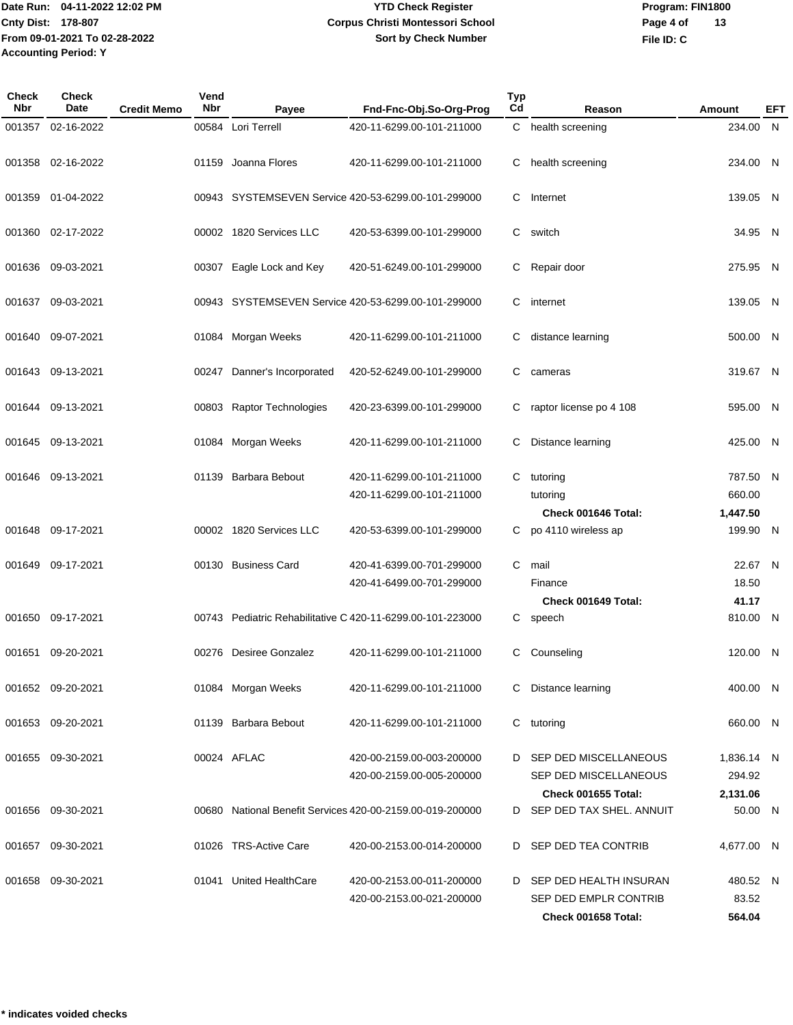# **YTD Check Register Corpus Christi Montessori School Sort by Check Number**

**Program: FIN1800 File ID: C Page 4 of 13**

| Check<br><b>Nbr</b> | Check<br>Date     | <b>Credit Memo</b> | Vend<br><b>Nbr</b> | Payee                       | Fnd-Fnc-Obj.So-Org-Prog                                    | <b>Typ</b><br>Cd | Reason                     | Amount     | EFT |
|---------------------|-------------------|--------------------|--------------------|-----------------------------|------------------------------------------------------------|------------------|----------------------------|------------|-----|
| 001357              | 02-16-2022        |                    |                    | 00584 Lori Terrell          | 420-11-6299.00-101-211000                                  |                  | C health screening         | 234.00 N   |     |
|                     |                   |                    |                    |                             |                                                            |                  |                            |            |     |
| 001358              | 02-16-2022        |                    |                    | 01159 Joanna Flores         | 420-11-6299.00-101-211000                                  | C                | health screening           | 234.00 N   |     |
|                     |                   |                    |                    |                             |                                                            |                  |                            |            |     |
| 001359              | 01-04-2022        |                    |                    |                             | 00943 SYSTEMSEVEN Service 420-53-6299.00-101-299000        | C                | Internet                   | 139.05 N   |     |
|                     |                   |                    |                    |                             |                                                            |                  |                            |            |     |
| 001360              | 02-17-2022        |                    |                    | 00002 1820 Services LLC     | 420-53-6399.00-101-299000                                  | C                | switch                     | 34.95 N    |     |
| 001636              | 09-03-2021        |                    |                    | 00307 Eagle Lock and Key    | 420-51-6249.00-101-299000                                  | C                | Repair door                | 275.95 N   |     |
|                     |                   |                    |                    |                             |                                                            |                  |                            |            |     |
| 001637              | 09-03-2021        |                    |                    |                             | 00943 SYSTEMSEVEN Service 420-53-6299.00-101-299000        | C                | internet                   | 139.05 N   |     |
|                     |                   |                    |                    |                             |                                                            |                  |                            |            |     |
| 001640              | 09-07-2021        |                    |                    | 01084 Morgan Weeks          | 420-11-6299.00-101-211000                                  | C                | distance learning          | 500.00 N   |     |
|                     |                   |                    |                    |                             |                                                            |                  |                            |            |     |
| 001643              | 09-13-2021        |                    |                    | 00247 Danner's Incorporated | 420-52-6249.00-101-299000                                  | C                | cameras                    | 319.67 N   |     |
|                     |                   |                    |                    |                             |                                                            |                  |                            |            |     |
|                     | 001644 09-13-2021 |                    |                    | 00803 Raptor Technologies   | 420-23-6399.00-101-299000                                  |                  | raptor license po 4 108    | 595.00 N   |     |
| 001645              | 09-13-2021        |                    |                    | 01084 Morgan Weeks          | 420-11-6299.00-101-211000                                  | C                | Distance learning          | 425.00 N   |     |
|                     |                   |                    |                    |                             |                                                            |                  |                            |            |     |
| 001646              | 09-13-2021        |                    |                    | 01139 Barbara Bebout        | 420-11-6299.00-101-211000                                  | C                | tutoring                   | 787.50 N   |     |
|                     |                   |                    |                    |                             | 420-11-6299.00-101-211000                                  |                  | tutoring                   | 660.00     |     |
|                     |                   |                    |                    |                             |                                                            |                  | Check 001646 Total:        | 1,447.50   |     |
|                     | 001648 09-17-2021 |                    |                    | 00002 1820 Services LLC     | 420-53-6399.00-101-299000                                  |                  | po 4110 wireless ap        | 199.90 N   |     |
|                     |                   |                    |                    |                             |                                                            |                  |                            |            |     |
| 001649              | 09-17-2021        |                    |                    | 00130 Business Card         | 420-41-6399.00-701-299000                                  | C.               | mail                       | 22.67 N    |     |
|                     |                   |                    |                    |                             | 420-41-6499.00-701-299000                                  |                  | Finance                    | 18.50      |     |
|                     |                   |                    |                    |                             |                                                            |                  | Check 001649 Total:        | 41.17      |     |
|                     | 001650 09-17-2021 |                    |                    |                             | 00743 Pediatric Rehabilitative C 420-11-6299.00-101-223000 | C.               | speech                     | 810.00 N   |     |
|                     | 001651 09-20-2021 |                    |                    | 00276 Desiree Gonzalez      | 420-11-6299.00-101-211000                                  | C.               | Counseling                 | 120.00 N   |     |
|                     |                   |                    |                    |                             |                                                            |                  |                            |            |     |
|                     | 001652 09-20-2021 |                    |                    | 01084 Morgan Weeks          | 420-11-6299.00-101-211000                                  | С                | Distance learning          | 400.00 N   |     |
|                     |                   |                    |                    |                             |                                                            |                  |                            |            |     |
|                     | 001653 09-20-2021 |                    |                    | 01139 Barbara Bebout        | 420-11-6299.00-101-211000                                  | C                | tutoring                   | 660.00 N   |     |
|                     |                   |                    |                    |                             |                                                            |                  |                            |            |     |
|                     | 001655 09-30-2021 |                    |                    | 00024 AFLAC                 | 420-00-2159.00-003-200000                                  | D.               | SEP DED MISCELLANEOUS      | 1,836.14 N |     |
|                     |                   |                    |                    |                             | 420-00-2159.00-005-200000                                  |                  | SEP DED MISCELLANEOUS      | 294.92     |     |
|                     |                   |                    |                    |                             |                                                            |                  | <b>Check 001655 Total:</b> | 2,131.06   |     |
| 001656              | 09-30-2021        |                    |                    |                             | 00680 National Benefit Services 420-00-2159.00-019-200000  |                  | D SEP DED TAX SHEL. ANNUIT | 50.00 N    |     |
| 001657              | 09-30-2021        |                    |                    | 01026 TRS-Active Care       | 420-00-2153.00-014-200000                                  | D                | SEP DED TEA CONTRIB        | 4,677.00 N |     |
|                     |                   |                    |                    |                             |                                                            |                  |                            |            |     |
| 001658              | 09-30-2021        |                    |                    | 01041 United HealthCare     | 420-00-2153.00-011-200000                                  | D                | SEP DED HEALTH INSURAN     | 480.52 N   |     |
|                     |                   |                    |                    |                             | 420-00-2153.00-021-200000                                  |                  | SEP DED EMPLR CONTRIB      | 83.52      |     |
|                     |                   |                    |                    |                             |                                                            |                  | Check 001658 Total:        | 564.04     |     |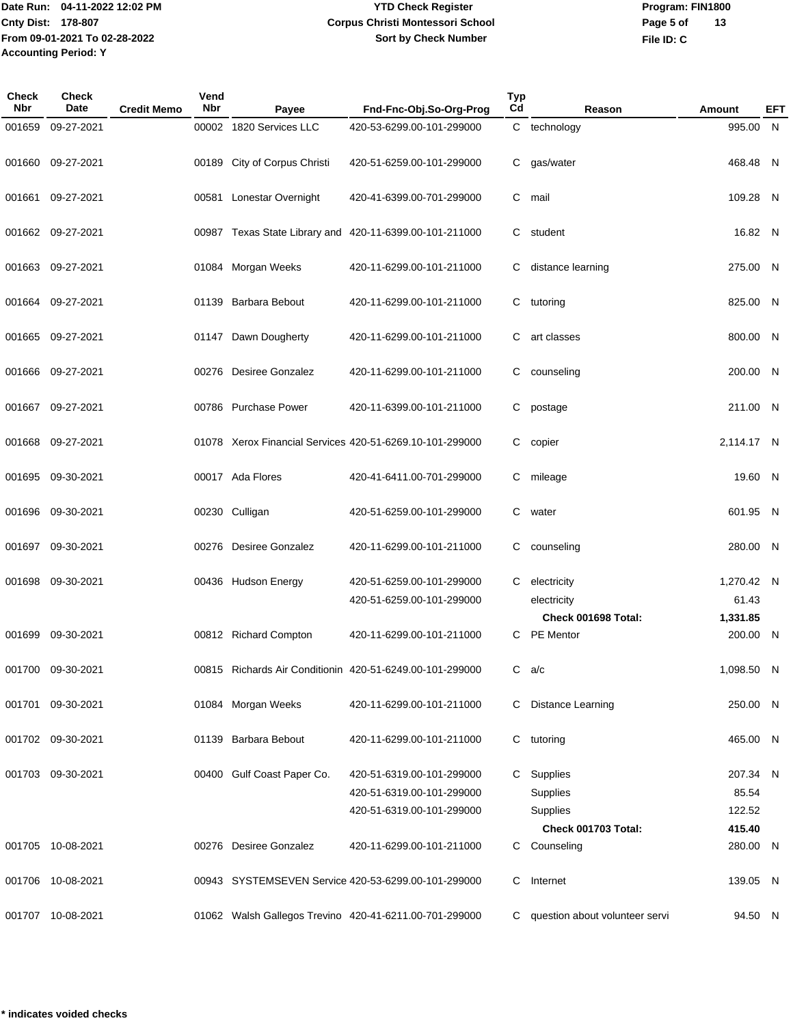# **YTD Check Register Corpus Christi Montessori School Sort by Check Number**

**Program: FIN1800 File ID: C Page 5 of 13**

| Check<br><b>Nbr</b> | <b>Check</b><br><b>Date</b> | <b>Credit Memo</b> | Vend<br><b>Nbr</b> | Payee                        | Fnd-Fnc-Obj.So-Org-Prog                                  | <b>Typ</b><br>Cd | Reason                             | Amount            | EFT |
|---------------------|-----------------------------|--------------------|--------------------|------------------------------|----------------------------------------------------------|------------------|------------------------------------|-------------------|-----|
| 001659              | 09-27-2021                  |                    |                    | 00002 1820 Services LLC      | 420-53-6299.00-101-299000                                |                  | C technology                       | 995.00 N          |     |
|                     |                             |                    |                    |                              |                                                          |                  |                                    |                   |     |
| 001660              | 09-27-2021                  |                    |                    | 00189 City of Corpus Christi | 420-51-6259.00-101-299000                                | C                | gas/water                          | 468.48 N          |     |
|                     |                             |                    |                    |                              |                                                          |                  |                                    |                   |     |
| 001661              | 09-27-2021                  |                    |                    | 00581 Lonestar Overnight     | 420-41-6399.00-701-299000                                | C                | mail                               | 109.28 N          |     |
|                     |                             |                    |                    |                              |                                                          |                  |                                    |                   |     |
|                     | 001662 09-27-2021           |                    |                    |                              | 00987 Texas State Library and 420-11-6399.00-101-211000  | C                | student                            | 16.82 N           |     |
|                     | 001663 09-27-2021           |                    |                    | 01084 Morgan Weeks           | 420-11-6299.00-101-211000                                | C                | distance learning                  | 275.00 N          |     |
|                     |                             |                    |                    |                              |                                                          |                  |                                    |                   |     |
| 001664              | 09-27-2021                  |                    |                    | 01139 Barbara Bebout         | 420-11-6299.00-101-211000                                | C                | tutoring                           | 825.00 N          |     |
|                     |                             |                    |                    |                              |                                                          |                  |                                    |                   |     |
| 001665              | 09-27-2021                  |                    |                    | 01147 Dawn Dougherty         | 420-11-6299.00-101-211000                                | C                | art classes                        | 800.00 N          |     |
|                     |                             |                    |                    |                              |                                                          |                  |                                    |                   |     |
| 001666              | 09-27-2021                  |                    |                    | 00276 Desiree Gonzalez       | 420-11-6299.00-101-211000                                | C                | counseling                         | 200.00 N          |     |
|                     |                             |                    |                    |                              |                                                          |                  |                                    |                   |     |
|                     | 001667 09-27-2021           |                    |                    | 00786 Purchase Power         | 420-11-6399.00-101-211000                                | C                | postage                            | 211.00 N          |     |
| 001668              | 09-27-2021                  |                    |                    |                              | 01078 Xerox Financial Services 420-51-6269.10-101-299000 | C                | copier                             | 2,114.17 N        |     |
|                     |                             |                    |                    |                              |                                                          |                  |                                    |                   |     |
| 001695              | 09-30-2021                  |                    |                    | 00017 Ada Flores             | 420-41-6411.00-701-299000                                | C                | mileage                            | 19.60 N           |     |
|                     |                             |                    |                    |                              |                                                          |                  |                                    |                   |     |
| 001696              | 09-30-2021                  |                    |                    | 00230 Culligan               | 420-51-6259.00-101-299000                                | C                | water                              | 601.95 N          |     |
|                     |                             |                    |                    |                              |                                                          |                  |                                    |                   |     |
| 001697              | 09-30-2021                  |                    |                    | 00276 Desiree Gonzalez       | 420-11-6299.00-101-211000                                | C                | counseling                         | 280.00 N          |     |
|                     |                             |                    |                    |                              |                                                          |                  |                                    |                   |     |
| 001698              | 09-30-2021                  |                    |                    | 00436 Hudson Energy          | 420-51-6259.00-101-299000                                | C                | electricity                        | 1,270.42 N        |     |
|                     |                             |                    |                    |                              | 420-51-6259.00-101-299000                                |                  | electricity<br>Check 001698 Total: | 61.43<br>1,331.85 |     |
| 001699              | 09-30-2021                  |                    |                    | 00812 Richard Compton        | 420-11-6299.00-101-211000                                | C.               | <b>PE</b> Mentor                   | 200.00 N          |     |
|                     |                             |                    |                    |                              |                                                          |                  |                                    |                   |     |
|                     | 001700 09-30-2021           |                    |                    |                              | 00815 Richards Air Conditionin 420-51-6249.00-101-299000 |                  | $C$ a/c                            | 1,098.50 N        |     |
|                     |                             |                    |                    |                              |                                                          |                  |                                    |                   |     |
| 001701              | 09-30-2021                  |                    |                    | 01084 Morgan Weeks           | 420-11-6299.00-101-211000                                | C                | <b>Distance Learning</b>           | 250.00 N          |     |
|                     |                             |                    |                    |                              |                                                          |                  |                                    |                   |     |
|                     | 001702 09-30-2021           |                    |                    | 01139 Barbara Bebout         | 420-11-6299.00-101-211000                                | C.               | tutoring                           | 465.00 N          |     |
|                     | 001703 09-30-2021           |                    |                    |                              | 420-51-6319.00-101-299000                                |                  |                                    | 207.34 N          |     |
|                     |                             |                    |                    | 00400 Gulf Coast Paper Co.   | 420-51-6319.00-101-299000                                |                  | C Supplies<br>Supplies             | 85.54             |     |
|                     |                             |                    |                    |                              | 420-51-6319.00-101-299000                                |                  | Supplies                           | 122.52            |     |
|                     |                             |                    |                    |                              |                                                          |                  | Check 001703 Total:                | 415.40            |     |
|                     | 001705 10-08-2021           |                    |                    | 00276 Desiree Gonzalez       | 420-11-6299.00-101-211000                                |                  | C Counseling                       | 280.00 N          |     |
|                     |                             |                    |                    |                              |                                                          |                  |                                    |                   |     |
|                     | 001706 10-08-2021           |                    |                    |                              | 00943 SYSTEMSEVEN Service 420-53-6299.00-101-299000      | C                | Internet                           | 139.05 N          |     |
|                     |                             |                    |                    |                              |                                                          |                  |                                    |                   |     |
|                     | 001707 10-08-2021           |                    |                    |                              | 01062 Walsh Gallegos Trevino 420-41-6211.00-701-299000   | C.               | question about volunteer servi     | 94.50 N           |     |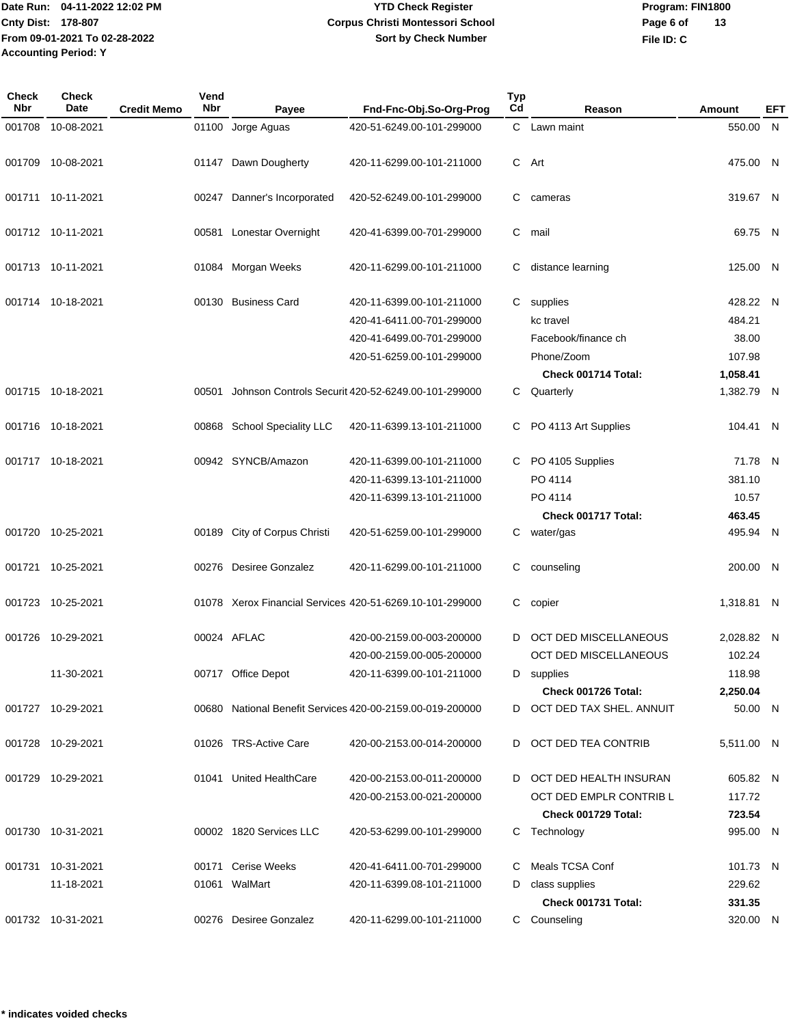# **YTD Check Register Corpus Christi Montessori School Sort by Check Number**

**Program: FIN1800 File ID: C Page 6 of 13**

| Check<br>Nbr | Check<br>Date     | <b>Credit Memo</b> | Vend<br><b>Nbr</b> | Payee                        | Fnd-Fnc-Obj.So-Org-Prog                                   | <b>Typ</b><br>Cd | Reason                       | Amount     | EFT |
|--------------|-------------------|--------------------|--------------------|------------------------------|-----------------------------------------------------------|------------------|------------------------------|------------|-----|
| 001708       | 10-08-2021        |                    |                    | 01100 Jorge Aguas            | 420-51-6249.00-101-299000                                 |                  | C Lawn maint                 | 550.00 N   |     |
|              |                   |                    |                    |                              |                                                           |                  |                              |            |     |
| 001709       | 10-08-2021        |                    |                    | 01147 Dawn Dougherty         | 420-11-6299.00-101-211000                                 | C.               | Art                          | 475.00 N   |     |
|              |                   |                    |                    |                              |                                                           |                  |                              |            |     |
|              | 001711 10-11-2021 |                    | 00247              | Danner's Incorporated        | 420-52-6249.00-101-299000                                 | C                | cameras                      | 319.67 N   |     |
|              | 001712 10-11-2021 |                    | 00581              | Lonestar Overnight           | 420-41-6399.00-701-299000                                 | C                | mail                         | 69.75 N    |     |
|              |                   |                    |                    |                              |                                                           |                  |                              |            |     |
|              | 001713 10-11-2021 |                    |                    | 01084 Morgan Weeks           | 420-11-6299.00-101-211000                                 |                  | distance learning            | 125.00 N   |     |
|              |                   |                    |                    |                              |                                                           |                  |                              |            |     |
|              | 001714 10-18-2021 |                    |                    | 00130 Business Card          | 420-11-6399.00-101-211000                                 | C.               | supplies                     | 428.22 N   |     |
|              |                   |                    |                    |                              | 420-41-6411.00-701-299000                                 |                  | kc travel                    | 484.21     |     |
|              |                   |                    |                    |                              | 420-41-6499.00-701-299000                                 |                  | Facebook/finance ch          | 38.00      |     |
|              |                   |                    |                    |                              | 420-51-6259.00-101-299000                                 |                  | Phone/Zoom                   | 107.98     |     |
|              |                   |                    |                    |                              |                                                           |                  | Check 001714 Total:          | 1,058.41   |     |
|              | 001715 10-18-2021 |                    |                    |                              | 00501 Johnson Controls Securit 420-52-6249.00-101-299000  |                  | C Quarterly                  | 1,382.79 N |     |
|              |                   |                    |                    |                              |                                                           |                  |                              |            |     |
|              | 001716 10-18-2021 |                    |                    | 00868 School Speciality LLC  | 420-11-6399.13-101-211000                                 |                  | PO 4113 Art Supplies         | 104.41 N   |     |
|              |                   |                    |                    |                              |                                                           |                  |                              |            |     |
|              | 001717 10-18-2021 |                    |                    | 00942 SYNCB/Amazon           | 420-11-6399.00-101-211000                                 |                  | C PO 4105 Supplies           | 71.78 N    |     |
|              |                   |                    |                    |                              | 420-11-6399.13-101-211000                                 |                  | PO 4114                      | 381.10     |     |
|              |                   |                    |                    |                              | 420-11-6399.13-101-211000                                 |                  | PO 4114                      | 10.57      |     |
|              |                   |                    |                    |                              |                                                           |                  | Check 001717 Total:          | 463.45     |     |
|              | 001720 10-25-2021 |                    |                    | 00189 City of Corpus Christi | 420-51-6259.00-101-299000                                 |                  | C water/gas                  | 495.94 N   |     |
|              |                   |                    |                    |                              |                                                           |                  |                              |            |     |
| 001721       | 10-25-2021        |                    |                    | 00276 Desiree Gonzalez       | 420-11-6299.00-101-211000                                 | С                | counseling                   | 200.00 N   |     |
|              |                   |                    |                    |                              |                                                           |                  |                              |            |     |
|              | 001723 10-25-2021 |                    |                    |                              | 01078 Xerox Financial Services 420-51-6269.10-101-299000  | С                | copier                       | 1,318.81 N |     |
|              |                   |                    |                    |                              |                                                           |                  |                              |            |     |
| 001726       | 10-29-2021        |                    |                    | 00024 AFLAC                  | 420-00-2159.00-003-200000                                 | D                | <b>OCT DED MISCELLANEOUS</b> | 2,028.82 N |     |
|              |                   |                    |                    |                              | 420-00-2159.00-005-200000                                 |                  | <b>OCT DED MISCELLANEOUS</b> | 102.24     |     |
|              | 11-30-2021        |                    |                    | 00717 Office Depot           | 420-11-6399.00-101-211000                                 |                  | D supplies                   | 118.98     |     |
|              |                   |                    |                    |                              |                                                           |                  | Check 001726 Total:          | 2,250.04   |     |
|              | 001727 10-29-2021 |                    |                    |                              | 00680 National Benefit Services 420-00-2159.00-019-200000 |                  | D OCT DED TAX SHEL. ANNUIT   | 50.00 N    |     |
|              |                   |                    |                    |                              |                                                           |                  |                              |            |     |
|              | 001728 10-29-2021 |                    |                    | 01026 TRS-Active Care        | 420-00-2153.00-014-200000                                 | D                | OCT DED TEA CONTRIB          | 5,511.00 N |     |
|              |                   |                    |                    |                              |                                                           |                  |                              |            |     |
|              | 001729 10-29-2021 |                    |                    | 01041 United HealthCare      | 420-00-2153.00-011-200000                                 |                  | D OCT DED HEALTH INSURAN     | 605.82 N   |     |
|              |                   |                    |                    |                              | 420-00-2153.00-021-200000                                 |                  | OCT DED EMPLR CONTRIB L      | 117.72     |     |
|              |                   |                    |                    |                              |                                                           |                  | Check 001729 Total:          | 723.54     |     |
|              | 001730 10-31-2021 |                    |                    | 00002 1820 Services LLC      | 420-53-6299.00-101-299000                                 |                  | C Technology                 | 995.00 N   |     |
|              |                   |                    |                    |                              |                                                           |                  |                              |            |     |
|              | 001731 10-31-2021 |                    |                    | 00171 Cerise Weeks           | 420-41-6411.00-701-299000                                 |                  | Meals TCSA Conf              | 101.73 N   |     |
|              | 11-18-2021        |                    |                    | 01061 WalMart                | 420-11-6399.08-101-211000                                 | D                | class supplies               | 229.62     |     |
|              |                   |                    |                    |                              |                                                           |                  | Check 001731 Total:          | 331.35     |     |
|              | 001732 10-31-2021 |                    |                    | 00276 Desiree Gonzalez       | 420-11-6299.00-101-211000                                 |                  | C Counseling                 | 320.00 N   |     |
|              |                   |                    |                    |                              |                                                           |                  |                              |            |     |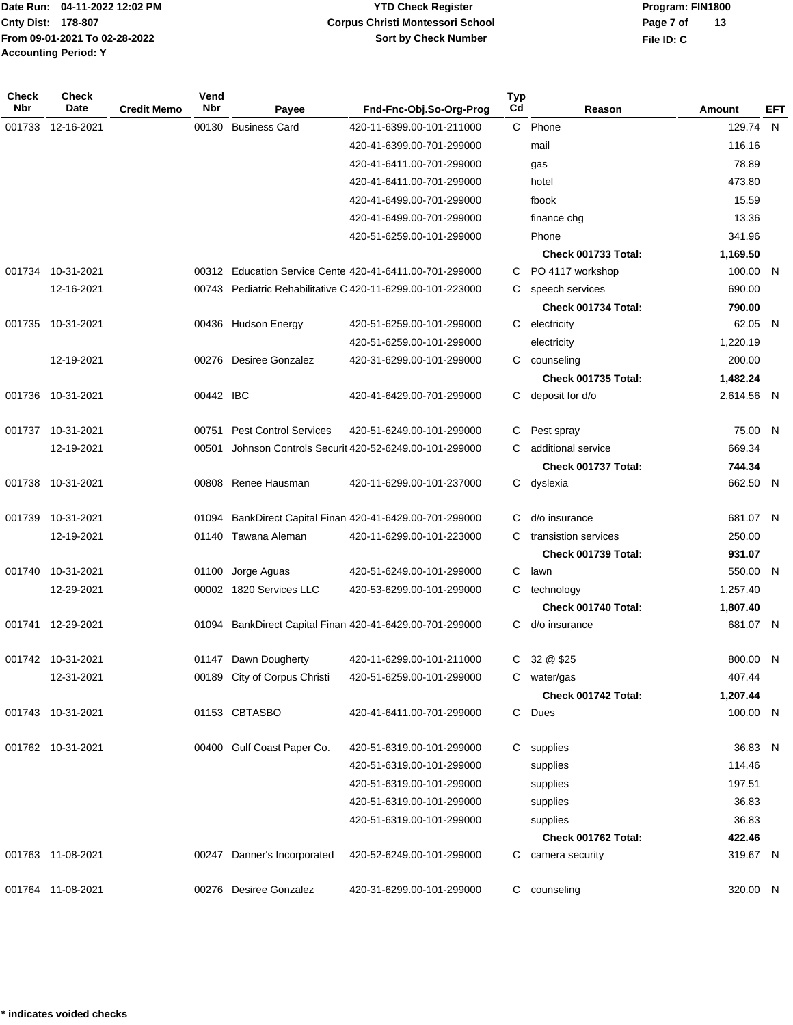**Program: FIN1800 File ID: C Page 7 of 13**

| <b>Check</b><br>Nbr | Check<br>Date     | <b>Credit Memo</b> | Vend<br>Nbr | Payee                        | Fnd-Fnc-Obj.So-Org-Prog                                    | <b>Typ</b><br>Cd | Reason               | Amount     | EFT |
|---------------------|-------------------|--------------------|-------------|------------------------------|------------------------------------------------------------|------------------|----------------------|------------|-----|
| 001733              | 12-16-2021        |                    | 00130       | <b>Business Card</b>         | 420-11-6399.00-101-211000                                  | $\mathbf{C}$     | Phone                | 129.74 N   |     |
|                     |                   |                    |             |                              | 420-41-6399.00-701-299000                                  |                  | mail                 | 116.16     |     |
|                     |                   |                    |             |                              | 420-41-6411.00-701-299000                                  |                  | gas                  | 78.89      |     |
|                     |                   |                    |             |                              | 420-41-6411.00-701-299000                                  |                  | hotel                | 473.80     |     |
|                     |                   |                    |             |                              | 420-41-6499.00-701-299000                                  |                  | fbook                | 15.59      |     |
|                     |                   |                    |             |                              | 420-41-6499.00-701-299000                                  |                  | finance chg          | 13.36      |     |
|                     |                   |                    |             |                              | 420-51-6259.00-101-299000                                  |                  | Phone                | 341.96     |     |
|                     |                   |                    |             |                              |                                                            |                  | Check 001733 Total:  | 1,169.50   |     |
|                     | 001734 10-31-2021 |                    |             |                              | 00312 Education Service Cente 420-41-6411.00-701-299000    | C                | PO 4117 workshop     | 100.00 N   |     |
|                     | 12-16-2021        |                    |             |                              | 00743 Pediatric Rehabilitative C 420-11-6299.00-101-223000 | C                | speech services      | 690.00     |     |
|                     |                   |                    |             |                              |                                                            |                  | Check 001734 Total:  | 790.00     |     |
| 001735              | 10-31-2021        |                    |             | 00436 Hudson Energy          | 420-51-6259.00-101-299000                                  | C                | electricity          | 62.05 N    |     |
|                     |                   |                    |             |                              | 420-51-6259.00-101-299000                                  |                  | electricity          | 1,220.19   |     |
|                     | 12-19-2021        |                    |             | 00276 Desiree Gonzalez       | 420-31-6299.00-101-299000                                  | C                | counseling           | 200.00     |     |
|                     |                   |                    |             |                              |                                                            |                  | Check 001735 Total:  | 1,482.24   |     |
| 001736              | 10-31-2021        |                    | 00442 IBC   |                              | 420-41-6429.00-701-299000                                  | C.               | deposit for d/o      | 2,614.56 N |     |
| 001737              | 10-31-2021        |                    | 00751       | <b>Pest Control Services</b> | 420-51-6249.00-101-299000                                  | C                | Pest spray           | 75.00 N    |     |
|                     | 12-19-2021        |                    | 00501       |                              | Johnson Controls Securit 420-52-6249.00-101-299000         | С                | additional service   | 669.34     |     |
|                     |                   |                    |             |                              |                                                            |                  | Check 001737 Total:  | 744.34     |     |
| 001738              | 10-31-2021        |                    |             | 00808 Renee Hausman          | 420-11-6299.00-101-237000                                  | C                | dyslexia             | 662.50 N   |     |
| 001739              | 10-31-2021        |                    | 01094       |                              | BankDirect Capital Finan 420-41-6429.00-701-299000         | C                | d/o insurance        | 681.07 N   |     |
|                     | 12-19-2021        |                    | 01140       | Tawana Aleman                | 420-11-6299.00-101-223000                                  | С                | transistion services | 250.00     |     |
|                     |                   |                    |             |                              |                                                            |                  | Check 001739 Total:  | 931.07     |     |
| 001740              | 10-31-2021        |                    | 01100       | Jorge Aguas                  | 420-51-6249.00-101-299000                                  | C                | lawn                 | 550.00 N   |     |
|                     | 12-29-2021        |                    |             | 00002 1820 Services LLC      | 420-53-6299.00-101-299000                                  | C                | technology           | 1,257.40   |     |
|                     |                   |                    |             |                              |                                                            |                  | Check 001740 Total:  | 1,807.40   |     |
|                     | 001741 12-29-2021 |                    |             |                              | 01094 BankDirect Capital Finan 420-41-6429.00-701-299000   | C                | d/o insurance        | 681.07 N   |     |
|                     | 001742 10-31-2021 |                    |             | 01147 Dawn Dougherty         | 420-11-6299.00-101-211000                                  | C                | 32 @ \$25            | 800.00 N   |     |
|                     | 12-31-2021        |                    |             | 00189 City of Corpus Christi | 420-51-6259.00-101-299000                                  | C                | water/gas            | 407.44     |     |
|                     |                   |                    |             |                              |                                                            |                  | Check 001742 Total:  | 1,207.44   |     |
|                     | 001743 10-31-2021 |                    |             | 01153 CBTASBO                | 420-41-6411.00-701-299000                                  | C                | Dues                 | 100.00 N   |     |
|                     | 001762 10-31-2021 |                    |             | 00400 Gulf Coast Paper Co.   | 420-51-6319.00-101-299000                                  | C.               | supplies             | 36.83 N    |     |
|                     |                   |                    |             |                              | 420-51-6319.00-101-299000                                  |                  | supplies             | 114.46     |     |
|                     |                   |                    |             |                              | 420-51-6319.00-101-299000                                  |                  | supplies             | 197.51     |     |
|                     |                   |                    |             |                              | 420-51-6319.00-101-299000                                  |                  | supplies             | 36.83      |     |
|                     |                   |                    |             |                              | 420-51-6319.00-101-299000                                  |                  | supplies             | 36.83      |     |
|                     |                   |                    |             |                              |                                                            |                  | Check 001762 Total:  | 422.46     |     |
|                     | 001763 11-08-2021 |                    |             | 00247 Danner's Incorporated  | 420-52-6249.00-101-299000                                  | C.               | camera security      | 319.67 N   |     |
|                     | 001764 11-08-2021 |                    |             | 00276 Desiree Gonzalez       | 420-31-6299.00-101-299000                                  | C                | counseling           | 320.00 N   |     |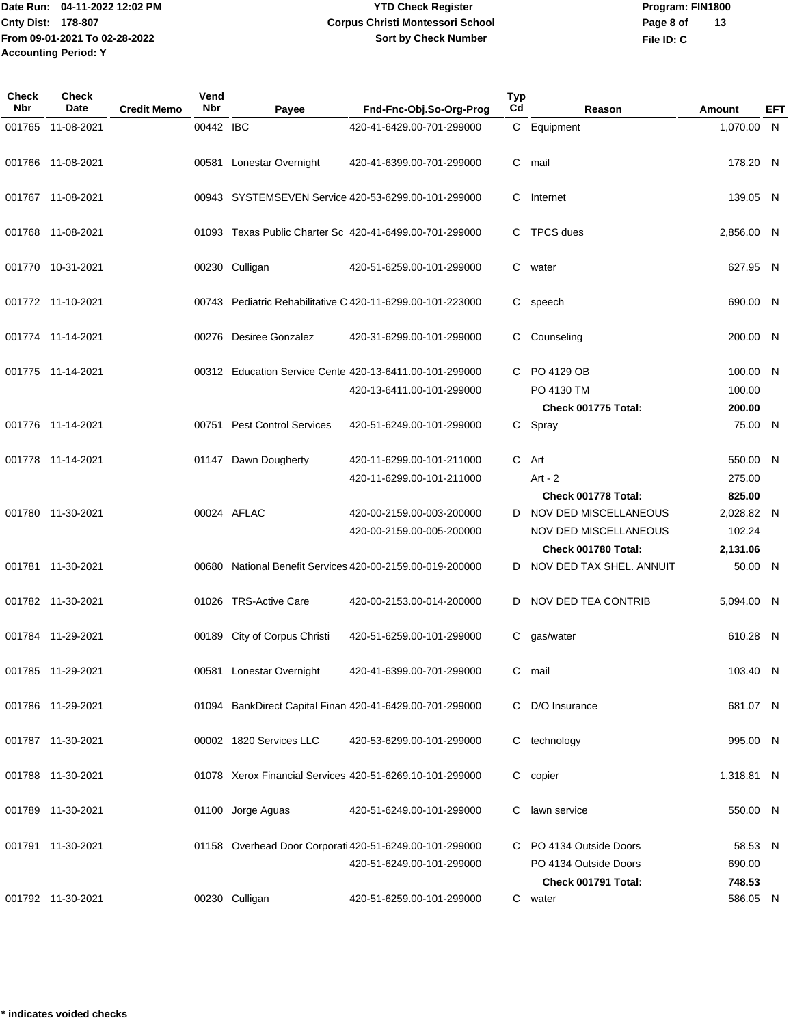**Program: FIN1800 File ID: C Page 8 of 13**

| Check<br>Nbr | <b>Check</b><br><b>Date</b> | <b>Credit Memo</b> | Vend<br>Nbr | Payee                        | Fnd-Fnc-Obj.So-Org-Prog                                    | <b>Typ</b><br>Cd | Reason                       | Amount     | EFT |
|--------------|-----------------------------|--------------------|-------------|------------------------------|------------------------------------------------------------|------------------|------------------------------|------------|-----|
| 001765       | 11-08-2021                  |                    | 00442 IBC   |                              | 420-41-6429.00-701-299000                                  |                  | C Equipment                  | 1,070.00 N |     |
|              |                             |                    |             |                              |                                                            |                  |                              |            |     |
|              | 001766 11-08-2021           |                    |             | 00581 Lonestar Overnight     | 420-41-6399.00-701-299000                                  | C                | mail                         | 178.20 N   |     |
|              |                             |                    |             |                              |                                                            |                  |                              |            |     |
|              | 001767 11-08-2021           |                    |             |                              | 00943 SYSTEMSEVEN Service 420-53-6299.00-101-299000        | C                | Internet                     | 139.05 N   |     |
|              |                             |                    |             |                              |                                                            |                  |                              |            |     |
|              | 001768 11-08-2021           |                    |             |                              | 01093 Texas Public Charter Sc 420-41-6499.00-701-299000    | С                | <b>TPCS</b> dues             | 2,856.00 N |     |
|              | 001770 10-31-2021           |                    |             | 00230 Culligan               | 420-51-6259.00-101-299000                                  | C.               | water                        | 627.95 N   |     |
|              |                             |                    |             |                              |                                                            |                  |                              |            |     |
|              | 001772 11-10-2021           |                    |             |                              | 00743 Pediatric Rehabilitative C 420-11-6299.00-101-223000 | C.               | speech                       | 690.00 N   |     |
|              |                             |                    |             |                              |                                                            |                  |                              |            |     |
|              | 001774 11-14-2021           |                    |             | 00276 Desiree Gonzalez       | 420-31-6299.00-101-299000                                  | С                | Counseling                   | 200.00 N   |     |
|              |                             |                    |             |                              |                                                            |                  |                              |            |     |
|              | 001775 11-14-2021           |                    |             |                              | 00312 Education Service Cente 420-13-6411.00-101-299000    | C.               | PO 4129 OB                   | 100.00 N   |     |
|              |                             |                    |             |                              | 420-13-6411.00-101-299000                                  |                  | PO 4130 TM                   | 100.00     |     |
|              |                             |                    |             |                              |                                                            |                  | Check 001775 Total:          | 200.00     |     |
|              | 001776 11-14-2021           |                    |             | 00751 Pest Control Services  | 420-51-6249.00-101-299000                                  | C.               | Spray                        | 75.00 N    |     |
|              | 001778 11-14-2021           |                    |             | 01147 Dawn Dougherty         | 420-11-6299.00-101-211000                                  | C.               | Art                          | 550.00 N   |     |
|              |                             |                    |             |                              | 420-11-6299.00-101-211000                                  |                  | Art - $2$                    | 275.00     |     |
|              |                             |                    |             |                              |                                                            |                  | Check 001778 Total:          | 825.00     |     |
|              | 001780 11-30-2021           |                    |             | 00024 AFLAC                  | 420-00-2159.00-003-200000                                  | D                | NOV DED MISCELLANEOUS        | 2,028.82 N |     |
|              |                             |                    |             |                              | 420-00-2159.00-005-200000                                  |                  | <b>NOV DED MISCELLANEOUS</b> | 102.24     |     |
|              |                             |                    |             |                              |                                                            |                  | Check 001780 Total:          | 2,131.06   |     |
|              | 001781 11-30-2021           |                    |             |                              | 00680 National Benefit Services 420-00-2159.00-019-200000  | D.               | NOV DED TAX SHEL. ANNUIT     | 50.00 N    |     |
|              |                             |                    |             |                              |                                                            |                  |                              |            |     |
|              | 001782 11-30-2021           |                    |             | 01026 TRS-Active Care        | 420-00-2153.00-014-200000                                  | D                | NOV DED TEA CONTRIB          | 5,094.00 N |     |
|              |                             |                    |             |                              | 420-51-6259.00-101-299000                                  |                  |                              |            |     |
|              | 001784 11-29-2021           |                    |             | 00189 City of Corpus Christi |                                                            | C.               | gas/water                    | 610.28 N   |     |
|              | 001785 11-29-2021           |                    |             | 00581 Lonestar Overnight     | 420-41-6399.00-701-299000                                  |                  | C mail                       | 103.40 N   |     |
|              |                             |                    |             |                              |                                                            |                  |                              |            |     |
|              | 001786 11-29-2021           |                    |             |                              | 01094 BankDirect Capital Finan 420-41-6429.00-701-299000   | С                | D/O Insurance                | 681.07 N   |     |
|              |                             |                    |             |                              |                                                            |                  |                              |            |     |
|              | 001787 11-30-2021           |                    |             | 00002 1820 Services LLC      | 420-53-6299.00-101-299000                                  | C.               | technology                   | 995.00 N   |     |
|              |                             |                    |             |                              |                                                            |                  |                              |            |     |
|              | 001788 11-30-2021           |                    |             |                              | 01078 Xerox Financial Services 420-51-6269.10-101-299000   | C.               | copier                       | 1,318.81 N |     |
|              | 001789 11-30-2021           |                    |             | 01100 Jorge Aguas            | 420-51-6249.00-101-299000                                  | C.               | lawn service                 | 550.00 N   |     |
|              |                             |                    |             |                              |                                                            |                  |                              |            |     |
|              | 001791 11-30-2021           |                    |             |                              | 01158 Overhead Door Corporati 420-51-6249.00-101-299000    |                  | C PO 4134 Outside Doors      | 58.53 N    |     |
|              |                             |                    |             |                              | 420-51-6249.00-101-299000                                  |                  | PO 4134 Outside Doors        | 690.00     |     |
|              |                             |                    |             |                              |                                                            |                  | Check 001791 Total:          | 748.53     |     |
|              | 001792 11-30-2021           |                    |             | 00230 Culligan               | 420-51-6259.00-101-299000                                  |                  | C water                      | 586.05 N   |     |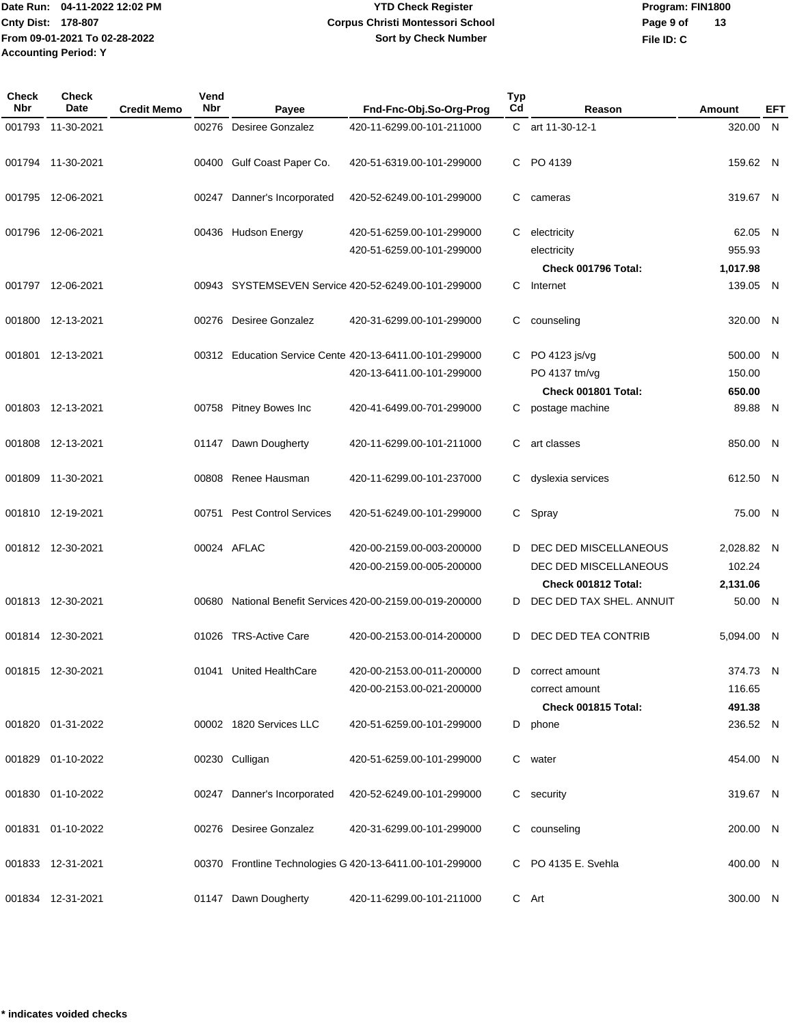# **YTD Check Register Corpus Christi Montessori School Sort by Check Number**

**Program: FIN1800 File ID: C Page 9 of 13**

| Check<br>Nbr | <b>Check</b><br>Date | <b>Credit Memo</b> | Vend<br><b>Nbr</b> | Payee                        | Fnd-Fnc-Obj.So-Org-Prog                                                              | Typ<br>C <sub>d</sub> | Reason                                                                | Amount                           | <b>EFT</b>     |
|--------------|----------------------|--------------------|--------------------|------------------------------|--------------------------------------------------------------------------------------|-----------------------|-----------------------------------------------------------------------|----------------------------------|----------------|
| 001793       | 11-30-2021           |                    |                    | 00276 Desiree Gonzalez       | 420-11-6299.00-101-211000                                                            |                       | C art 11-30-12-1                                                      | 320.00                           | N              |
|              | 001794 11-30-2021    |                    |                    | 00400 Gulf Coast Paper Co.   | 420-51-6319.00-101-299000                                                            | C.                    | PO 4139                                                               | 159.62 N                         |                |
|              | 001795 12-06-2021    |                    | 00247              | Danner's Incorporated        | 420-52-6249.00-101-299000                                                            | C.                    | cameras                                                               | 319.67 N                         |                |
|              | 001796 12-06-2021    |                    |                    | 00436 Hudson Energy          | 420-51-6259.00-101-299000<br>420-51-6259.00-101-299000                               | C.                    | electricity<br>electricity<br><b>Check 001796 Total:</b>              | 62.05 N<br>955.93<br>1,017.98    |                |
|              | 001797 12-06-2021    |                    |                    |                              | 00943 SYSTEMSEVEN Service 420-52-6249.00-101-299000                                  | C.                    | Internet                                                              | 139.05 N                         |                |
|              | 001800 12-13-2021    |                    |                    | 00276 Desiree Gonzalez       | 420-31-6299.00-101-299000                                                            | С                     | counseling                                                            | 320.00                           | $\overline{N}$ |
|              | 001801 12-13-2021    |                    |                    |                              | 00312 Education Service Cente 420-13-6411.00-101-299000<br>420-13-6411.00-101-299000 | C.                    | PO 4123 js/vg<br>PO 4137 tm/vg<br>Check 001801 Total:                 | 500.00 N<br>150.00<br>650.00     |                |
|              | 001803 12-13-2021    |                    |                    | 00758 Pitney Bowes Inc       | 420-41-6499.00-701-299000                                                            | С                     | postage machine                                                       | 89.88 N                          |                |
| 001808       | 12-13-2021           |                    | 01147              | Dawn Dougherty               | 420-11-6299.00-101-211000                                                            | С                     | art classes                                                           | 850.00                           | $\overline{N}$ |
| 001809       | 11-30-2021           |                    |                    | 00808 Renee Hausman          | 420-11-6299.00-101-237000                                                            | С                     | dyslexia services                                                     | 612.50                           | - N            |
|              | 001810 12-19-2021    |                    | 00751              | <b>Pest Control Services</b> | 420-51-6249.00-101-299000                                                            | C.                    | Spray                                                                 | 75.00 N                          |                |
|              | 001812 12-30-2021    |                    |                    | 00024 AFLAC                  | 420-00-2159.00-003-200000<br>420-00-2159.00-005-200000                               | D                     | DEC DED MISCELLANEOUS<br>DEC DED MISCELLANEOUS<br>Check 001812 Total: | 2,028.82 N<br>102.24<br>2,131.06 |                |
|              | 001813 12-30-2021    |                    |                    |                              | 00680 National Benefit Services 420-00-2159.00-019-200000                            | D                     | DEC DED TAX SHEL, ANNUIT                                              | 50.00 N                          |                |
|              | 001814 12-30-2021    |                    |                    | 01026 TRS-Active Care        | 420-00-2153.00-014-200000                                                            | D                     | DEC DED TEA CONTRIB                                                   | 5,094.00 N                       |                |
|              | 001815 12-30-2021    |                    |                    | 01041 United HealthCare      | 420-00-2153.00-011-200000<br>420-00-2153.00-021-200000                               |                       | D correct amount<br>correct amount<br>Check 001815 Total:             | 374.73 N<br>116.65<br>491.38     |                |
|              | 001820 01-31-2022    |                    |                    | 00002 1820 Services LLC      | 420-51-6259.00-101-299000                                                            |                       | D phone                                                               | 236.52 N                         |                |
|              | 001829 01-10-2022    |                    |                    | 00230 Culligan               | 420-51-6259.00-101-299000                                                            |                       | C water                                                               | 454.00 N                         |                |
|              | 001830 01-10-2022    |                    |                    | 00247 Danner's Incorporated  | 420-52-6249.00-101-299000                                                            |                       | C security                                                            | 319.67 N                         |                |
|              | 001831 01-10-2022    |                    |                    | 00276 Desiree Gonzalez       | 420-31-6299.00-101-299000                                                            |                       | C counseling                                                          | 200.00 N                         |                |
|              | 001833 12-31-2021    |                    |                    |                              | 00370 Frontline Technologies G 420-13-6411.00-101-299000                             |                       | C PO 4135 E. Svehla                                                   | 400.00 N                         |                |
|              | 001834 12-31-2021    |                    |                    | 01147 Dawn Dougherty         | 420-11-6299.00-101-211000                                                            |                       | C Art                                                                 | 300.00 N                         |                |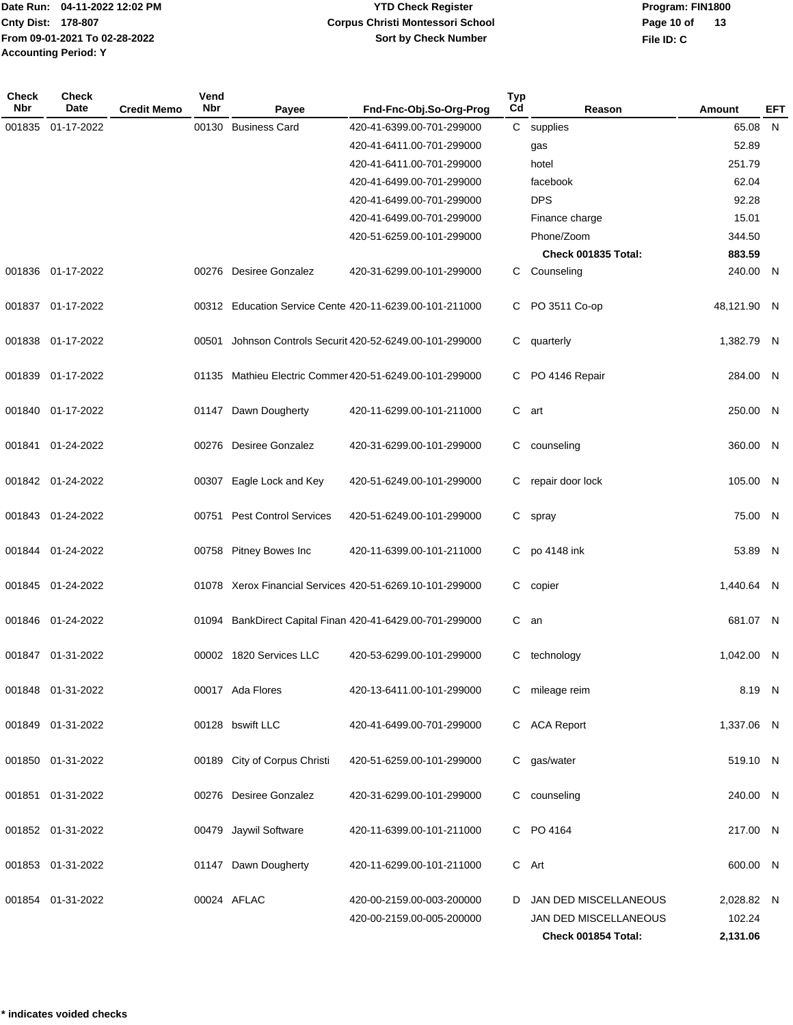**Program: FIN1800 File ID: C Page 10 of 13**

| <b>Check</b><br>Nbr | Check<br>Date     | <b>Credit Memo</b> | Vend<br><b>Nbr</b> | Payee                        | Fnd-Fnc-Obj.So-Org-Prog                                  | <b>Typ</b><br>Cd | Reason                | <b>Amount</b> | <b>EFT</b> |
|---------------------|-------------------|--------------------|--------------------|------------------------------|----------------------------------------------------------|------------------|-----------------------|---------------|------------|
| 001835              | 01-17-2022        |                    | 00130              | <b>Business Card</b>         | 420-41-6399.00-701-299000                                | $\mathsf{C}^-$   | supplies              | 65.08         | N          |
|                     |                   |                    |                    |                              | 420-41-6411.00-701-299000                                |                  | gas                   | 52.89         |            |
|                     |                   |                    |                    |                              | 420-41-6411.00-701-299000                                |                  | hotel                 | 251.79        |            |
|                     |                   |                    |                    |                              | 420-41-6499.00-701-299000                                |                  | facebook              | 62.04         |            |
|                     |                   |                    |                    |                              | 420-41-6499.00-701-299000                                |                  | <b>DPS</b>            | 92.28         |            |
|                     |                   |                    |                    |                              | 420-41-6499.00-701-299000                                |                  | Finance charge        | 15.01         |            |
|                     |                   |                    |                    |                              | 420-51-6259.00-101-299000                                |                  | Phone/Zoom            | 344.50        |            |
|                     |                   |                    |                    |                              |                                                          |                  | Check 001835 Total:   | 883.59        |            |
|                     | 001836 01-17-2022 |                    |                    | 00276 Desiree Gonzalez       | 420-31-6299.00-101-299000                                |                  | C Counseling          | 240.00 N      |            |
|                     | 001837 01-17-2022 |                    |                    |                              | 00312 Education Service Cente 420-11-6239.00-101-211000  | C.               | PO 3511 Co-op         | 48,121.90 N   |            |
|                     | 001838 01-17-2022 |                    | 00501              |                              | Johnson Controls Securit 420-52-6249.00-101-299000       | C.               | quarterly             | 1,382.79 N    |            |
| 001839              | 01-17-2022        |                    |                    |                              | 01135 Mathieu Electric Commer 420-51-6249.00-101-299000  | C                | PO 4146 Repair        | 284.00 N      |            |
|                     | 001840 01-17-2022 |                    |                    | 01147 Dawn Dougherty         | 420-11-6299.00-101-211000                                |                  | C art                 | 250.00 N      |            |
| 001841              | 01-24-2022        |                    |                    | 00276 Desiree Gonzalez       | 420-31-6299.00-101-299000                                | C                | counseling            | 360.00 N      |            |
|                     | 001842 01-24-2022 |                    |                    | 00307 Eagle Lock and Key     | 420-51-6249.00-101-299000                                | C                | repair door lock      | 105.00 N      |            |
|                     | 001843 01-24-2022 |                    |                    | 00751 Pest Control Services  | 420-51-6249.00-101-299000                                | C.               | spray                 | 75.00         | - N        |
|                     | 001844 01-24-2022 |                    |                    | 00758 Pitney Bowes Inc       | 420-11-6399.00-101-211000                                | C                | po 4148 ink           | 53.89 N       |            |
|                     | 001845 01-24-2022 |                    |                    |                              | 01078 Xerox Financial Services 420-51-6269.10-101-299000 | C.               | copier                | 1,440.64 N    |            |
|                     | 001846 01-24-2022 |                    |                    |                              | 01094 BankDirect Capital Finan 420-41-6429.00-701-299000 | $\mathbf{C}$     | an                    | 681.07 N      |            |
|                     | 001847 01-31-2022 |                    |                    | 00002 1820 Services LLC      | 420-53-6299.00-101-299000                                | C.               | technology            | 1,042.00 N    |            |
|                     | 001848 01-31-2022 |                    |                    | 00017 Ada Flores             | 420-13-6411.00-101-299000                                |                  | C mileage reim        | 8.19 N        |            |
|                     | 001849 01-31-2022 |                    |                    | 00128 bswift LLC             | 420-41-6499.00-701-299000                                |                  | C ACA Report          | 1,337.06 N    |            |
|                     | 001850 01-31-2022 |                    |                    | 00189 City of Corpus Christi | 420-51-6259.00-101-299000                                |                  | C gas/water           | 519.10 N      |            |
|                     | 001851 01-31-2022 |                    |                    | 00276 Desiree Gonzalez       | 420-31-6299.00-101-299000                                |                  | C counseling          | 240.00 N      |            |
|                     | 001852 01-31-2022 |                    |                    | 00479 Jaywil Software        | 420-11-6399.00-101-211000                                |                  | C PO 4164             | 217.00 N      |            |
|                     | 001853 01-31-2022 |                    |                    | 01147 Dawn Dougherty         | 420-11-6299.00-101-211000                                |                  | C Art                 | 600.00 N      |            |
|                     | 001854 01-31-2022 |                    |                    | 00024 AFLAC                  | 420-00-2159.00-003-200000                                | D                | JAN DED MISCELLANEOUS | 2,028.82 N    |            |
|                     |                   |                    |                    |                              | 420-00-2159.00-005-200000                                |                  | JAN DED MISCELLANEOUS | 102.24        |            |
|                     |                   |                    |                    |                              |                                                          |                  | Check 001854 Total:   | 2,131.06      |            |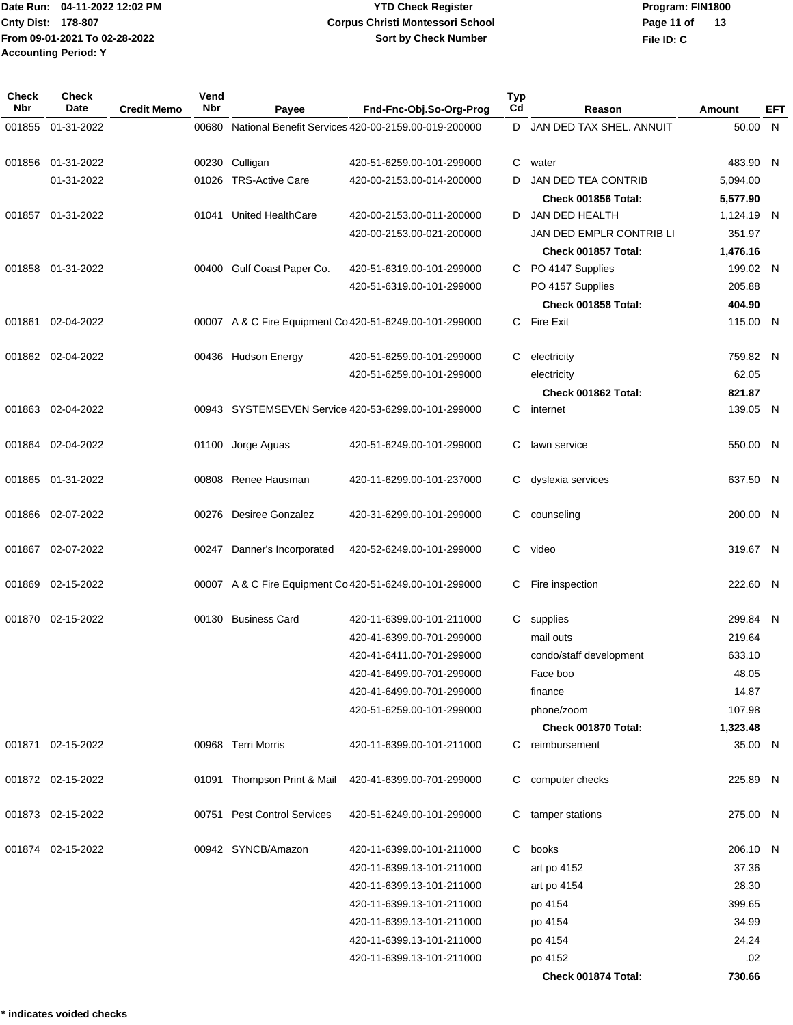**Program: FIN1800 File ID: C Page 11 of 13**

| <b>Check</b><br>Nbr | Check<br><b>Date</b> | <b>Credit Memo</b> | Vend<br><b>Nbr</b> | Payee                       | Fnd-Fnc-Obj.So-Org-Prog                                   | <b>Typ</b><br>Cd | Reason                               | Amount              | <b>EFT</b> |
|---------------------|----------------------|--------------------|--------------------|-----------------------------|-----------------------------------------------------------|------------------|--------------------------------------|---------------------|------------|
| 001855              | 01-31-2022           |                    |                    |                             | 00680 National Benefit Services 420-00-2159.00-019-200000 | D                | JAN DED TAX SHEL. ANNUIT             | 50.00 N             |            |
|                     |                      |                    |                    |                             |                                                           |                  |                                      |                     |            |
| 001856              | 01-31-2022           |                    |                    | 00230 Culligan              | 420-51-6259.00-101-299000                                 | C                | water                                | 483.90 N            |            |
|                     | 01-31-2022           |                    |                    | 01026 TRS-Active Care       | 420-00-2153.00-014-200000                                 | D                | <b>JAN DED TEA CONTRIB</b>           | 5,094.00            |            |
|                     |                      |                    |                    |                             |                                                           |                  | Check 001856 Total:                  | 5,577.90            |            |
| 001857              | 01-31-2022           |                    | 01041              | <b>United HealthCare</b>    | 420-00-2153.00-011-200000                                 | D                | JAN DED HEALTH                       | 1,124.19 N          |            |
|                     |                      |                    |                    |                             | 420-00-2153.00-021-200000                                 |                  | JAN DED EMPLR CONTRIB LI             | 351.97              |            |
|                     |                      |                    |                    |                             |                                                           |                  | Check 001857 Total:                  | 1,476.16            |            |
|                     | 001858 01-31-2022    |                    |                    | 00400 Gulf Coast Paper Co.  | 420-51-6319.00-101-299000                                 |                  | C PO 4147 Supplies                   | 199.02 N            |            |
|                     |                      |                    |                    |                             | 420-51-6319.00-101-299000                                 |                  | PO 4157 Supplies                     | 205.88              |            |
|                     |                      |                    |                    |                             |                                                           |                  | Check 001858 Total:                  | 404.90              |            |
| 001861              | 02-04-2022           |                    |                    |                             | 00007 A & C Fire Equipment Co 420-51-6249.00-101-299000   |                  | C Fire Exit                          | 115.00 N            |            |
|                     | 001862 02-04-2022    |                    |                    | 00436 Hudson Energy         | 420-51-6259.00-101-299000                                 | C                | electricity                          | 759.82 N            |            |
|                     |                      |                    |                    |                             | 420-51-6259.00-101-299000                                 |                  | electricity                          | 62.05               |            |
|                     |                      |                    |                    |                             |                                                           |                  | Check 001862 Total:                  | 821.87              |            |
|                     | 001863 02-04-2022    |                    |                    |                             | 00943 SYSTEMSEVEN Service 420-53-6299.00-101-299000       | C.               | internet                             | 139.05 N            |            |
| 001864              | 02-04-2022           |                    | 01100              | Jorge Aguas                 | 420-51-6249.00-101-299000                                 | C                | lawn service                         | 550.00 N            |            |
|                     | 001865 01-31-2022    |                    |                    | 00808 Renee Hausman         | 420-11-6299.00-101-237000                                 | C                | dyslexia services                    | 637.50 N            |            |
|                     | 001866 02-07-2022    |                    |                    | 00276 Desiree Gonzalez      | 420-31-6299.00-101-299000                                 | C                | counseling                           | 200.00 N            |            |
| 001867              | 02-07-2022           |                    | 00247              | Danner's Incorporated       | 420-52-6249.00-101-299000                                 | C                | video                                | 319.67 N            |            |
| 001869              | 02-15-2022           |                    |                    |                             | 00007 A & C Fire Equipment Co 420-51-6249.00-101-299000   | C                | Fire inspection                      | 222.60 N            |            |
|                     | 001870 02-15-2022    |                    |                    | 00130 Business Card         | 420-11-6399.00-101-211000                                 |                  |                                      | 299.84 N            |            |
|                     |                      |                    |                    |                             | 420-41-6399.00-701-299000                                 |                  | C supplies<br>mail outs              | 219.64              |            |
|                     |                      |                    |                    |                             | 420-41-6411.00-701-299000                                 |                  |                                      | 633.10              |            |
|                     |                      |                    |                    |                             |                                                           |                  | condo/staff development              |                     |            |
|                     |                      |                    |                    |                             | 420-41-6499.00-701-299000                                 |                  | Face boo                             | 48.05               |            |
|                     |                      |                    |                    |                             | 420-41-6499.00-701-299000                                 |                  | finance                              | 14.87               |            |
|                     |                      |                    |                    |                             | 420-51-6259.00-101-299000                                 |                  | phone/zoom                           | 107.98              |            |
|                     | 001871 02-15-2022    |                    |                    | 00968 Terri Morris          | 420-11-6399.00-101-211000                                 | C.               | Check 001870 Total:<br>reimbursement | 1,323.48<br>35.00 N |            |
|                     | 001872 02-15-2022    |                    |                    | 01091 Thompson Print & Mail | 420-41-6399.00-701-299000                                 | C.               | computer checks                      | 225.89 N            |            |
|                     | 001873 02-15-2022    |                    |                    | 00751 Pest Control Services | 420-51-6249.00-101-299000                                 | C.               | tamper stations                      | 275.00 N            |            |
|                     |                      |                    |                    |                             |                                                           |                  |                                      |                     |            |
|                     | 001874 02-15-2022    |                    |                    | 00942 SYNCB/Amazon          | 420-11-6399.00-101-211000                                 | C                | books                                | 206.10 N            |            |
|                     |                      |                    |                    |                             | 420-11-6399.13-101-211000                                 |                  | art po 4152                          | 37.36               |            |
|                     |                      |                    |                    |                             | 420-11-6399.13-101-211000                                 |                  | art po 4154                          | 28.30               |            |
|                     |                      |                    |                    |                             | 420-11-6399.13-101-211000                                 |                  | po 4154                              | 399.65              |            |
|                     |                      |                    |                    |                             | 420-11-6399.13-101-211000                                 |                  | po 4154                              | 34.99               |            |
|                     |                      |                    |                    |                             | 420-11-6399.13-101-211000                                 |                  | po 4154                              | 24.24               |            |
|                     |                      |                    |                    |                             | 420-11-6399.13-101-211000                                 |                  | po 4152                              | .02                 |            |
|                     |                      |                    |                    |                             |                                                           |                  | Check 001874 Total:                  | 730.66              |            |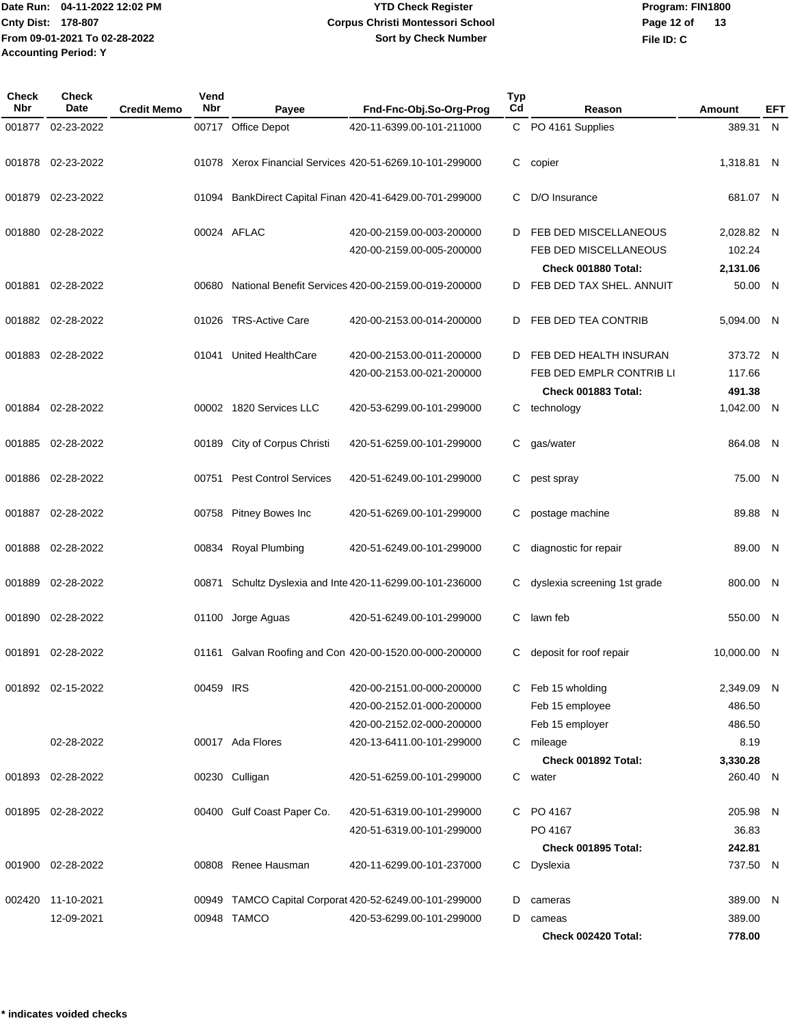# **YTD Check Register Corpus Christi Montessori School Sort by Check Number**

**Program: FIN1800 File ID: C Page 12 of 13**

| Check<br>Nbr | <b>Check</b><br>Date | <b>Credit Memo</b> | Vend<br>Nbr | Payee                        | Fnd-Fnc-Obj.So-Org-Prog                                   | <b>Typ</b><br>$_{\rm Cd}$ | Reason                                          | Amount              | <b>EFT</b> |
|--------------|----------------------|--------------------|-------------|------------------------------|-----------------------------------------------------------|---------------------------|-------------------------------------------------|---------------------|------------|
| 001877       | 02-23-2022           |                    |             | 00717 Office Depot           | 420-11-6399.00-101-211000                                 |                           | C PO 4161 Supplies                              | 389.31              | N          |
| 001878       | 02-23-2022           |                    |             |                              | 01078 Xerox Financial Services 420-51-6269.10-101-299000  | C.                        | copier                                          | 1,318.81 N          |            |
| 001879       | 02-23-2022           |                    |             |                              | 01094 BankDirect Capital Finan 420-41-6429.00-701-299000  | С                         | D/O Insurance                                   | 681.07 N            |            |
| 001880       | 02-28-2022           |                    |             | 00024 AFLAC                  | 420-00-2159.00-003-200000                                 | D                         | FEB DED MISCELLANEOUS                           | 2,028.82 N          |            |
|              |                      |                    |             |                              | 420-00-2159.00-005-200000                                 |                           | FEB DED MISCELLANEOUS                           | 102.24              |            |
|              | 001881 02-28-2022    |                    |             |                              | 00680 National Benefit Services 420-00-2159.00-019-200000 | D                         | Check 001880 Total:<br>FEB DED TAX SHEL. ANNUIT | 2,131.06<br>50.00 N |            |
|              | 001882 02-28-2022    |                    |             | 01026 TRS-Active Care        | 420-00-2153.00-014-200000                                 | D                         | FEB DED TEA CONTRIB                             | 5,094.00 N          |            |
| 001883       | 02-28-2022           |                    |             | 01041 United HealthCare      | 420-00-2153.00-011-200000                                 | D                         | FEB DED HEALTH INSURAN                          | 373.72 N            |            |
|              |                      |                    |             |                              | 420-00-2153.00-021-200000                                 |                           | FEB DED EMPLR CONTRIB LI                        | 117.66              |            |
|              |                      |                    |             |                              |                                                           |                           | Check 001883 Total:                             | 491.38              |            |
|              | 001884 02-28-2022    |                    |             | 00002 1820 Services LLC      | 420-53-6299.00-101-299000                                 | C.                        | technology                                      | 1,042.00 N          |            |
| 001885       | 02-28-2022           |                    |             | 00189 City of Corpus Christi | 420-51-6259.00-101-299000                                 | С                         | gas/water                                       | 864.08 N            |            |
| 001886       | 02-28-2022           |                    | 00751       | <b>Pest Control Services</b> | 420-51-6249.00-101-299000                                 | С                         | pest spray                                      | 75.00               | N          |
| 001887       | 02-28-2022           |                    |             | 00758 Pitney Bowes Inc       | 420-51-6269.00-101-299000                                 | С                         | postage machine                                 | 89.88               | - N        |
| 001888       | 02-28-2022           |                    |             | 00834 Royal Plumbing         | 420-51-6249.00-101-299000                                 | С                         | diagnostic for repair                           | 89.00               | - N        |
| 001889       | 02-28-2022           |                    | 00871       |                              | Schultz Dyslexia and Inte 420-11-6299.00-101-236000       | С                         | dyslexia screening 1st grade                    | 800.00              | - N        |
| 001890       | 02-28-2022           |                    |             | 01100 Jorge Aguas            | 420-51-6249.00-101-299000                                 | С                         | lawn feb                                        | 550.00              | - N        |
| 001891       | 02-28-2022           |                    |             |                              | 01161 Galvan Roofing and Con 420-00-1520.00-000-200000    | C                         | deposit for roof repair                         | 10,000.00           | -N         |
|              | 001892 02-15-2022    |                    | 00459 IRS   |                              | 420-00-2151.00-000-200000                                 | C.                        | Feb 15 wholding                                 | 2,349.09 N          |            |
|              |                      |                    |             |                              | 420-00-2152.01-000-200000                                 |                           | Feb 15 employee                                 | 486.50              |            |
|              |                      |                    |             |                              | 420-00-2152.02-000-200000                                 |                           | Feb 15 employer                                 | 486.50              |            |
|              | 02-28-2022           |                    |             | 00017 Ada Flores             | 420-13-6411.00-101-299000                                 |                           | C mileage                                       | 8.19                |            |
|              |                      |                    |             |                              |                                                           |                           | Check 001892 Total:                             | 3,330.28            |            |
| 001893       | 02-28-2022           |                    |             | 00230 Culligan               | 420-51-6259.00-101-299000                                 |                           | C water                                         | 260.40 N            |            |
| 001895       | 02-28-2022           |                    |             | 00400 Gulf Coast Paper Co.   | 420-51-6319.00-101-299000                                 | C.                        | PO 4167                                         | 205.98 N            |            |
|              |                      |                    |             |                              | 420-51-6319.00-101-299000                                 |                           | PO 4167                                         | 36.83               |            |
|              |                      |                    |             |                              |                                                           |                           | <b>Check 001895 Total:</b>                      | 242.81              |            |
| 001900       | 02-28-2022           |                    |             | 00808 Renee Hausman          | 420-11-6299.00-101-237000                                 |                           | C Dyslexia                                      | 737.50 N            |            |
| 002420       | 11-10-2021           |                    |             |                              | 00949 TAMCO Capital Corporat 420-52-6249.00-101-299000    | D                         | cameras                                         | 389.00 N            |            |
|              | 12-09-2021           |                    |             | 00948 TAMCO                  | 420-53-6299.00-101-299000                                 | D                         | cameas                                          | 389.00              |            |
|              |                      |                    |             |                              |                                                           |                           | Check 002420 Total:                             | 778.00              |            |